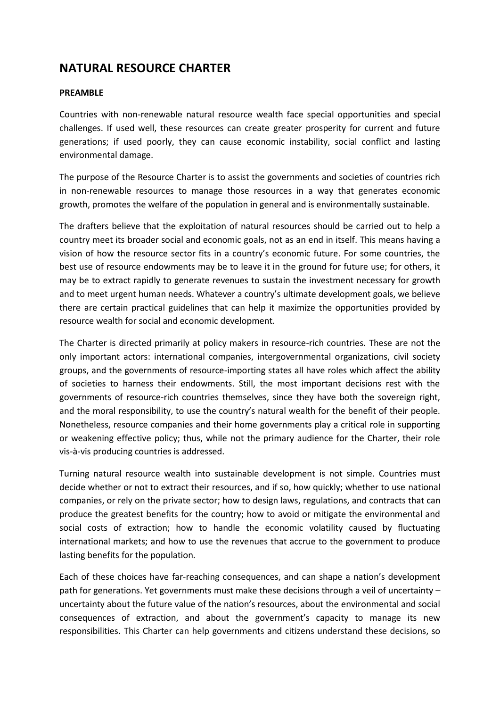## **NATURAL RESOURCE CHARTER**

#### **PREAMBLE**

Countries with non-renewable natural resource wealth face special opportunities and special challenges. If used well, these resources can create greater prosperity for current and future generations; if used poorly, they can cause economic instability, social conflict and lasting environmental damage.

The purpose of the Resource Charter is to assist the governments and societies of countries rich in non-renewable resources to manage those resources in a way that generates economic growth, promotes the welfare of the population in general and is environmentally sustainable.

The drafters believe that the exploitation of natural resources should be carried out to help a country meet its broader social and economic goals, not as an end in itself. This means having a vision of how the resource sector fits in a country's economic future. For some countries, the best use of resource endowments may be to leave it in the ground for future use; for others, it may be to extract rapidly to generate revenues to sustain the investment necessary for growth and to meet urgent human needs. Whatever a country's ultimate development goals, we believe there are certain practical guidelines that can help it maximize the opportunities provided by resource wealth for social and economic development.

The Charter is directed primarily at policy makers in resource-rich countries. These are not the only important actors: international companies, intergovernmental organizations, civil society groups, and the governments of resource-importing states all have roles which affect the ability of societies to harness their endowments. Still, the most important decisions rest with the governments of resource-rich countries themselves, since they have both the sovereign right, and the moral responsibility, to use the country's natural wealth for the benefit of their people. Nonetheless, resource companies and their home governments play a critical role in supporting or weakening effective policy; thus, while not the primary audience for the Charter, their role vis-à-vis producing countries is addressed.

Turning natural resource wealth into sustainable development is not simple. Countries must decide whether or not to extract their resources, and if so, how quickly; whether to use national companies, or rely on the private sector; how to design laws, regulations, and contracts that can produce the greatest benefits for the country; how to avoid or mitigate the environmental and social costs of extraction; how to handle the economic volatility caused by fluctuating international markets; and how to use the revenues that accrue to the government to produce lasting benefits for the population.

Each of these choices have far-reaching consequences, and can shape a nation's development path for generations. Yet governments must make these decisions through a veil of uncertainty – uncertainty about the future value of the nation's resources, about the environmental and social consequences of extraction, and about the government's capacity to manage its new responsibilities. This Charter can help governments and citizens understand these decisions, so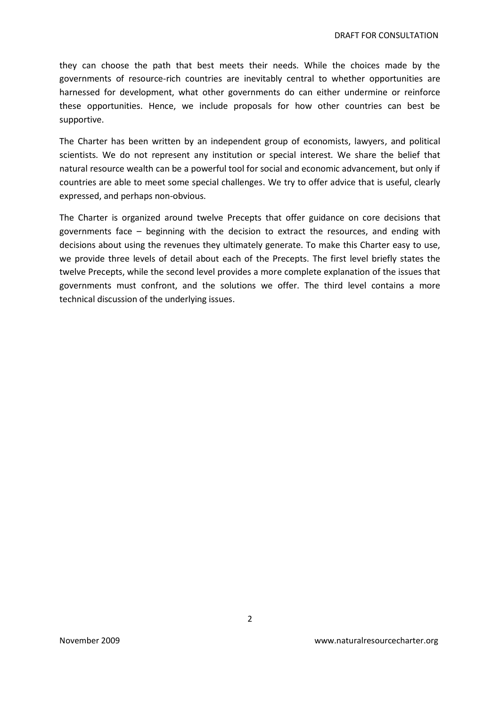they can choose the path that best meets their needs. While the choices made by the governments of resource-rich countries are inevitably central to whether opportunities are harnessed for development, what other governments do can either undermine or reinforce these opportunities. Hence, we include proposals for how other countries can best be supportive.

The Charter has been written by an independent group of economists, lawyers, and political scientists. We do not represent any institution or special interest. We share the belief that natural resource wealth can be a powerful tool for social and economic advancement, but only if countries are able to meet some special challenges. We try to offer advice that is useful, clearly expressed, and perhaps non-obvious.

The Charter is organized around twelve Precepts that offer guidance on core decisions that governments face – beginning with the decision to extract the resources, and ending with decisions about using the revenues they ultimately generate. To make this Charter easy to use, we provide three levels of detail about each of the Precepts. The first level briefly states the twelve Precepts, while the second level provides a more complete explanation of the issues that governments must confront, and the solutions we offer. The third level contains a more technical discussion of the underlying issues.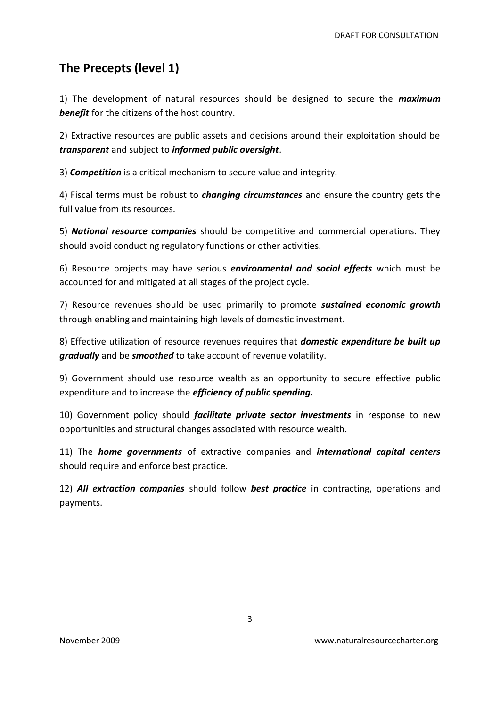# **The Precepts (level 1)**

1) The development of natural resources should be designed to secure the *maximum benefit* for the citizens of the host country.

2) Extractive resources are public assets and decisions around their exploitation should be *transparent* and subject to *informed public oversight*.

3) *Competition* is a critical mechanism to secure value and integrity.

4) Fiscal terms must be robust to *changing circumstances* and ensure the country gets the full value from its resources.

5) *National resource companies* should be competitive and commercial operations. They should avoid conducting regulatory functions or other activities.

6) Resource projects may have serious *environmental and social effects* which must be accounted for and mitigated at all stages of the project cycle.

7) Resource revenues should be used primarily to promote *sustained economic growth*  through enabling and maintaining high levels of domestic investment.

8) Effective utilization of resource revenues requires that *domestic expenditure be built up gradually* and be *smoothed* to take account of revenue volatility.

9) Government should use resource wealth as an opportunity to secure effective public expenditure and to increase the *efficiency of public spending.*

10) Government policy should *facilitate private sector investments* in response to new opportunities and structural changes associated with resource wealth.

11) The *home governments* of extractive companies and *international capital centers* should require and enforce best practice.

12) *All extraction companies* should follow *best practice* in contracting, operations and payments.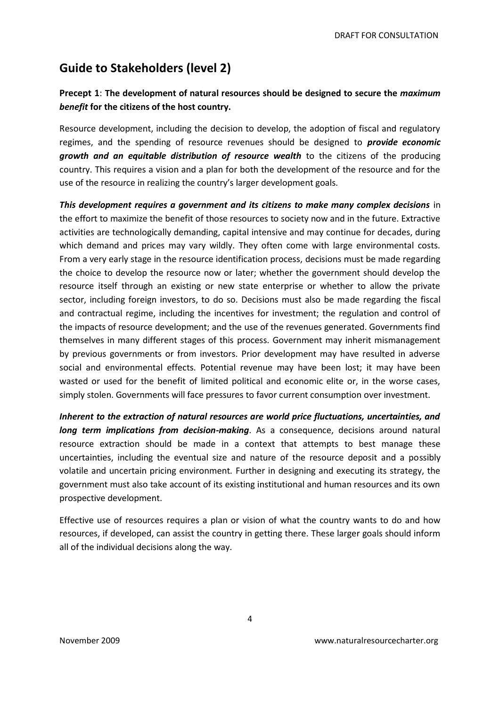# **Guide to Stakeholders (level 2)**

## **Precept 1**: **The development of natural resources should be designed to secure the** *maximum benefit* **for the citizens of the host country.**

Resource development, including the decision to develop, the adoption of fiscal and regulatory regimes, and the spending of resource revenues should be designed to *provide economic growth and an equitable distribution of resource wealth* to the citizens of the producing country. This requires a vision and a plan for both the development of the resource and for the use of the resource in realizing the country's larger development goals.

*This development requires a government and its citizens to make many complex decisions* in the effort to maximize the benefit of those resources to society now and in the future. Extractive activities are technologically demanding, capital intensive and may continue for decades, during which demand and prices may vary wildly. They often come with large environmental costs. From a very early stage in the resource identification process, decisions must be made regarding the choice to develop the resource now or later; whether the government should develop the resource itself through an existing or new state enterprise or whether to allow the private sector, including foreign investors, to do so. Decisions must also be made regarding the fiscal and contractual regime, including the incentives for investment; the regulation and control of the impacts of resource development; and the use of the revenues generated. Governments find themselves in many different stages of this process. Government may inherit mismanagement by previous governments or from investors. Prior development may have resulted in adverse social and environmental effects. Potential revenue may have been lost; it may have been wasted or used for the benefit of limited political and economic elite or, in the worse cases, simply stolen. Governments will face pressures to favor current consumption over investment.

*Inherent to the extraction of natural resources are world price fluctuations, uncertainties, and long term implications from decision-making*. As a consequence, decisions around natural resource extraction should be made in a context that attempts to best manage these uncertainties, including the eventual size and nature of the resource deposit and a possibly volatile and uncertain pricing environment. Further in designing and executing its strategy, the government must also take account of its existing institutional and human resources and its own prospective development.

Effective use of resources requires a plan or vision of what the country wants to do and how resources, if developed, can assist the country in getting there. These larger goals should inform all of the individual decisions along the way.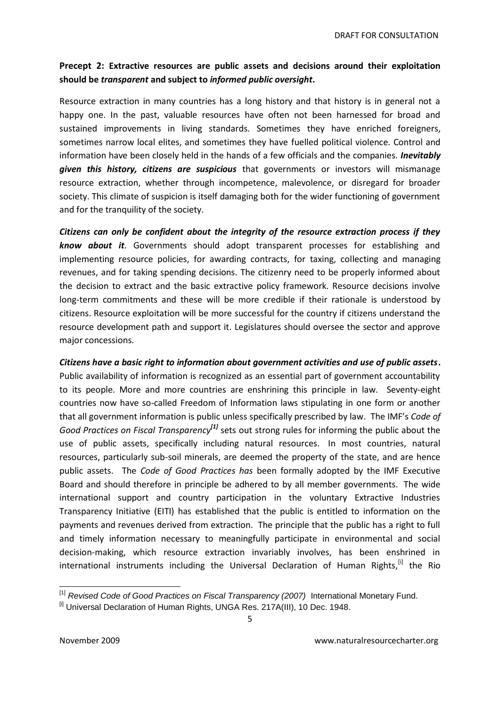### **Precept 2: Extractive resources are public assets and decisions around their exploitation should be** *transparent* **and subject to** *informed public oversight***.**

Resource extraction in many countries has a long history and that history is in general not a happy one. In the past, valuable resources have often not been harnessed for broad and sustained improvements in living standards. Sometimes they have enriched foreigners, sometimes narrow local elites, and sometimes they have fuelled political violence. Control and information have been closely held in the hands of a few officials and the companies. *Inevitably given this history, citizens are suspicious* that governments or investors will mismanage resource extraction, whether through incompetence, malevolence, or disregard for broader society. This climate of suspicion is itself damaging both for the wider functioning of government and for the tranquility of the society.

*Citizens can only be confident about the integrity of the resource extraction process if they know about it*. Governments should adopt transparent processes for establishing and implementing resource policies, for awarding contracts, for taxing, collecting and managing revenues, and for taking spending decisions. The citizenry need to be properly informed about the decision to extract and the basic extractive policy framework. Resource decisions involve long-term commitments and these will be more credible if their rationale is understood by citizens. Resource exploitation will be more successful for the country if citizens understand the resource development path and support it. Legislatures should oversee the sector and approve major concessions.

*Citizens have a basic right to information about government activities and use of public assets***.**  Public availability of information is recognized as an essential part of government accountability to its people. More and more countries are enshrining this principle in law. Seventy-eight countries now have so-called Freedom of Information laws stipulating in one form or another that all government information is public unless specifically prescribed by law. The IMF's *Code of*  Good Practices on Fiscal Transparency<sup>[1]</sup> sets out strong rules for informing the public about the use of public assets, specifically including natural resources. In most countries, natural resources, particularly sub-soil minerals, are deemed the property of the state, and are hence public assets.The *Code of Good Practices has* been formally adopted by the IMF Executive Board and should therefore in principle be adhered to by all member governments. The wide international support and country participation in the voluntary Extractive Industries Transparency Initiative (EITI) has established that the public is entitled to information on the payments and revenues derived from extraction. The principle that the public has a right to full and timely information necessary to meaningfully participate in environmental and social decision-making, which resource extraction invariably involves, has been enshrined in international instruments including the Universal Declaration of Human Rights,<sup>[i]</sup> the Rio

 $\overline{a}$ [1] *Revised Code of Good Practices on Fiscal Transparency (2007)* International Monetary Fund.

<sup>&</sup>lt;sup>[i]</sup> Universal Declaration of Human Rights, UNGA Res. 217A(III), 10 Dec. 1948.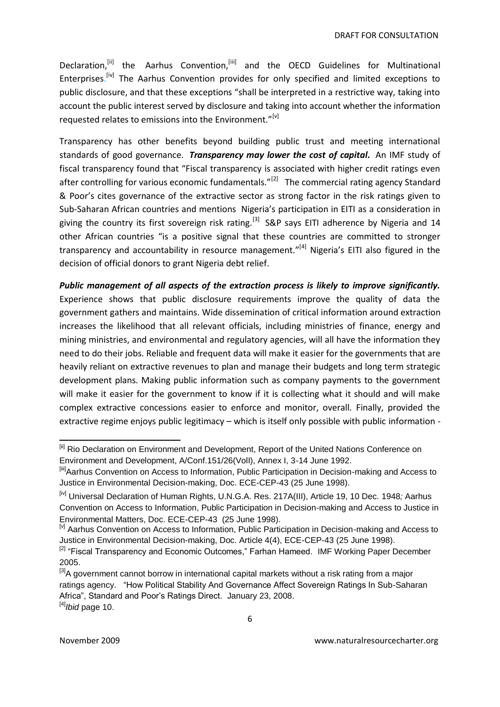Declaration,<sup>[ii]</sup> the Aarhus Convention,<sup>[iii]</sup> and the OECD Guidelines for Multinational Enterprises.<sup>[iv]</sup> The Aarhus Convention provides for only specified and limited exceptions to public disclosure, and that these exceptions "shall be interpreted in a restrictive way, taking into account the public interest served by disclosure and taking into account whether the information requested relates to emissions into the Environment."<sup>[v]</sup>

Transparency has other benefits beyond building public trust and meeting international standards of good governance. *Transparency may lower the cost of capital.* An IMF study of fiscal transparency found that "Fiscal transparency is associated with higher credit ratings even after controlling for various economic fundamentals."<sup>[2]</sup> The commercial rating agency Standard & Poor's cites governance of the extractive sector as strong factor in the risk ratings given to Sub-Saharan African countries and mentions Nigeria's participation in EITI as a consideration in giving the country its first sovereign risk rating.<sup>[3]</sup> S&P says EITI adherence by Nigeria and 14 other African countries "is a positive signal that these countries are committed to stronger transparency and accountability in resource management."<sup>[4]</sup> Nigeria's EITI also figured in the decision of official donors to grant Nigeria debt relief.

*Public management of all aspects of the extraction process is likely to improve significantly.*  Experience shows that public disclosure requirements improve the quality of data the government gathers and maintains. Wide dissemination of critical information around extraction increases the likelihood that all relevant officials, including ministries of finance, energy and mining ministries, and environmental and regulatory agencies, will all have the information they need to do their jobs. Reliable and frequent data will make it easier for the governments that are heavily reliant on extractive revenues to plan and manage their budgets and long term strategic development plans. Making public information such as company payments to the government will make it easier for the government to know if it is collecting what it should and will make complex extractive concessions easier to enforce and monitor, overall. Finally, provided the extractive regime enjoys public legitimacy – which is itself only possible with public information -

 $\overline{\phantom{a}}$ <sup>[ii]</sup> Rio Declaration on Environment and Development, Report of the United Nations Conference on Environment and Development, A/Conf.151/26(VolI), Annex I, 3-14 June 1992.

<sup>&</sup>lt;sup>[iii]</sup>Aarhus Convention on Access to Information, Public Participation in Decision-making and Access to Justice in Environmental Decision-making, Doc. ECE-CEP-43 (25 June 1998).

<sup>[</sup>iv] Universal Declaration of Human Rights, U.N.G.A. Res. 217A(III), Article 19, 10 Dec. 1948*;* Aarhus Convention on Access to Information, Public Participation in Decision-making and Access to Justice in Environmental Matters, Doc. ECE-CEP-43 (25 June 1998).

<sup>&</sup>lt;sup>[v]</sup> Aarhus Convention on Access to Information, Public Participation in Decision-making and Access to Justice in Environmental Decision-making, Doc. Article 4(4), ECE-CEP-43 (25 June 1998).

<sup>&</sup>lt;sup>[2]</sup> "Fiscal Transparency and Economic Outcomes," Farhan Hameed. IMF Working Paper December 2005.

<sup>&</sup>lt;sup>[3]</sup>A government cannot borrow in international capital markets without a risk rating from a major ratings agency. "How Political Stability And Governance Affect Sovereign Ratings In Sub-Saharan Africa", Standard and Poor"s Ratings Direct. January 23, 2008.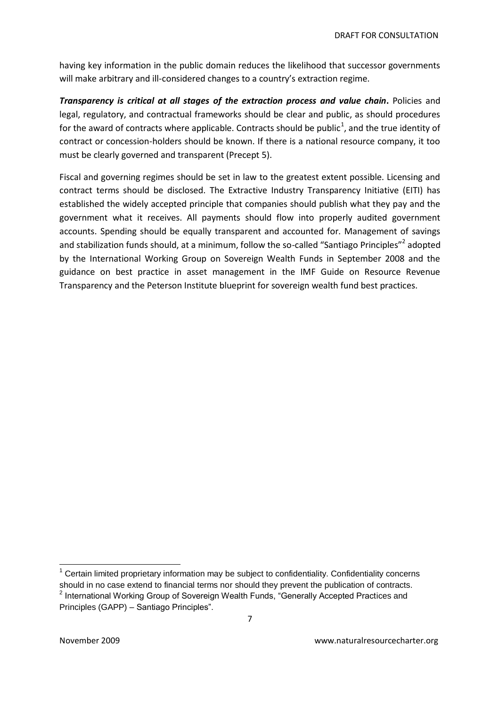having key information in the public domain reduces the likelihood that successor governments will make arbitrary and ill-considered changes to a country's extraction regime.

*Transparency is critical at all stages of the extraction process and value chain***.** Policies and legal, regulatory, and contractual frameworks should be clear and public, as should procedures for the award of contracts where applicable. Contracts should be public<sup>1</sup>, and the true identity of contract or concession-holders should be known. If there is a national resource company, it too must be clearly governed and transparent (Precept 5).

Fiscal and governing regimes should be set in law to the greatest extent possible. Licensing and contract terms should be disclosed. The Extractive Industry Transparency Initiative (EITI) has established the widely accepted principle that companies should publish what they pay and the government what it receives. All payments should flow into properly audited government accounts. Spending should be equally transparent and accounted for. Management of savings and stabilization funds should, at a minimum, follow the so-called "Santiago Principles"<sup>2</sup> adopted by the International Working Group on Sovereign Wealth Funds in September 2008 and the guidance on best practice in asset management in the IMF Guide on Resource Revenue Transparency and the Peterson Institute blueprint for sovereign wealth fund best practices.

 $\overline{a}$  $1$  Certain limited proprietary information may be subject to confidentiality. Confidentiality concerns should in no case extend to financial terms nor should they prevent the publication of contracts.

<sup>&</sup>lt;sup>2</sup> International Working Group of Sovereign Wealth Funds, "Generally Accepted Practices and Principles (GAPP) – Santiago Principles".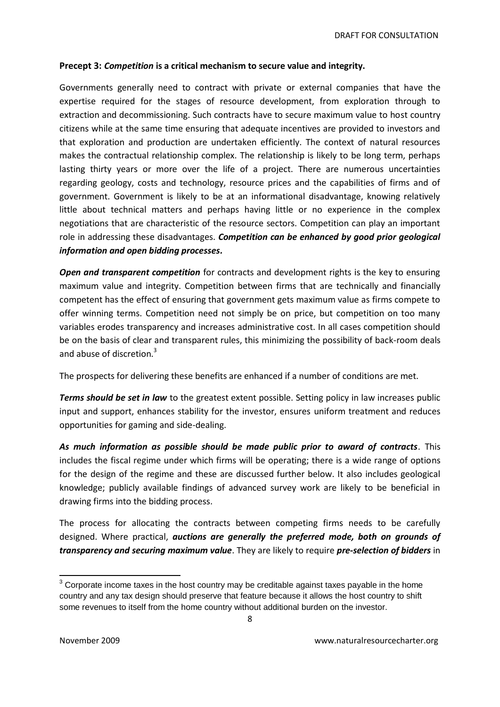#### **Precept 3:** *Competition* **is a critical mechanism to secure value and integrity.**

Governments generally need to contract with private or external companies that have the expertise required for the stages of resource development, from exploration through to extraction and decommissioning. Such contracts have to secure maximum value to host country citizens while at the same time ensuring that adequate incentives are provided to investors and that exploration and production are undertaken efficiently. The context of natural resources makes the contractual relationship complex. The relationship is likely to be long term, perhaps lasting thirty years or more over the life of a project. There are numerous uncertainties regarding geology, costs and technology, resource prices and the capabilities of firms and of government. Government is likely to be at an informational disadvantage, knowing relatively little about technical matters and perhaps having little or no experience in the complex negotiations that are characteristic of the resource sectors. Competition can play an important role in addressing these disadvantages. *Competition can be enhanced by good prior geological information and open bidding processes.*

**Open and transparent competition** for contracts and development rights is the key to ensuring maximum value and integrity. Competition between firms that are technically and financially competent has the effect of ensuring that government gets maximum value as firms compete to offer winning terms. Competition need not simply be on price, but competition on too many variables erodes transparency and increases administrative cost. In all cases competition should be on the basis of clear and transparent rules, this minimizing the possibility of back-room deals and abuse of discretion.<sup>3</sup>

The prospects for delivering these benefits are enhanced if a number of conditions are met.

*Terms should be set in law* to the greatest extent possible. Setting policy in law increases public input and support, enhances stability for the investor, ensures uniform treatment and reduces opportunities for gaming and side-dealing.

*As much information as possible should be made public prior to award of contracts*. This includes the fiscal regime under which firms will be operating; there is a wide range of options for the design of the regime and these are discussed further below. It also includes geological knowledge; publicly available findings of advanced survey work are likely to be beneficial in drawing firms into the bidding process.

The process for allocating the contracts between competing firms needs to be carefully designed. Where practical, *auctions are generally the preferred mode, both on grounds of transparency and securing maximum value*. They are likely to require *pre-selection of bidders* in

 $\overline{\phantom{a}}$ 

 $3$  Corporate income taxes in the host country may be creditable against taxes payable in the home country and any tax design should preserve that feature because it allows the host country to shift some revenues to itself from the home country without additional burden on the investor.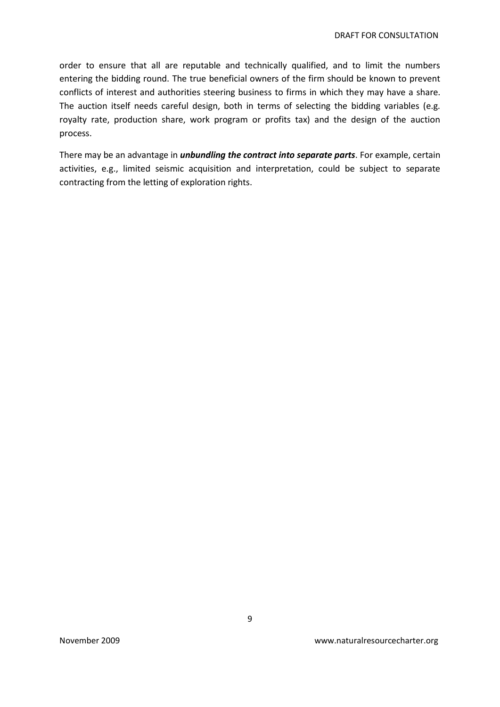order to ensure that all are reputable and technically qualified, and to limit the numbers entering the bidding round. The true beneficial owners of the firm should be known to prevent conflicts of interest and authorities steering business to firms in which they may have a share. The auction itself needs careful design, both in terms of selecting the bidding variables (e.g. royalty rate, production share, work program or profits tax) and the design of the auction process.

There may be an advantage in *unbundling the contract into separate parts*. For example, certain activities, e.g., limited seismic acquisition and interpretation, could be subject to separate contracting from the letting of exploration rights.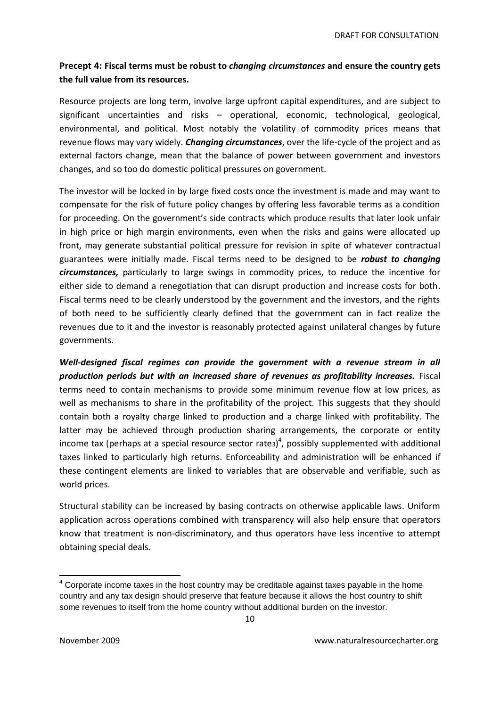## **Precept 4: Fiscal terms must be robust to** *changing circumstances* **and ensure the country gets the full value from its resources.**

Resource projects are long term, involve large upfront capital expenditures, and are subject to significant uncertainties and risks – operational, economic, technological, geological, environmental, and political. Most notably the volatility of commodity prices means that revenue flows may vary widely. *Changing circumstances*, over the life-cycle of the project and as external factors change, mean that the balance of power between government and investors changes, and so too do domestic political pressures on government.

The investor will be locked in by large fixed costs once the investment is made and may want to compensate for the risk of future policy changes by offering less favorable terms as a condition for proceeding. On the government's side contracts which produce results that later look unfair in high price or high margin environments, even when the risks and gains were allocated up front, may generate substantial political pressure for revision in spite of whatever contractual guarantees were initially made. Fiscal terms need to be designed to be *robust to changing circumstances,* particularly to large swings in commodity prices, to reduce the incentive for either side to demand a renegotiation that can disrupt production and increase costs for both. Fiscal terms need to be clearly understood by the government and the investors, and the rights of both need to be sufficiently clearly defined that the government can in fact realize the revenues due to it and the investor is reasonably protected against unilateral changes by future governments.

*Well-designed fiscal regimes can provide the government with a revenue stream in all production periods but with an increased share of revenues as profitability increases.* Fiscal terms need to contain mechanisms to provide some minimum revenue flow at low prices, as well as mechanisms to share in the profitability of the project. This suggests that they should contain both a royalty charge linked to production and a charge linked with profitability. The latter may be achieved through production sharing arrangements, the corporate or entity income tax (perhaps at a special resource sector rates)<sup>4</sup>, possibly supplemented with additional taxes linked to particularly high returns. Enforceability and administration will be enhanced if these contingent elements are linked to variables that are observable and verifiable, such as world prices.

Structural stability can be increased by basing contracts on otherwise applicable laws. Uniform application across operations combined with transparency will also help ensure that operators know that treatment is non-discriminatory, and thus operators have less incentive to attempt obtaining special deals.

 $\overline{\phantom{a}}$  $<sup>4</sup>$  Corporate income taxes in the host country may be creditable against taxes payable in the home</sup> country and any tax design should preserve that feature because it allows the host country to shift some revenues to itself from the home country without additional burden on the investor.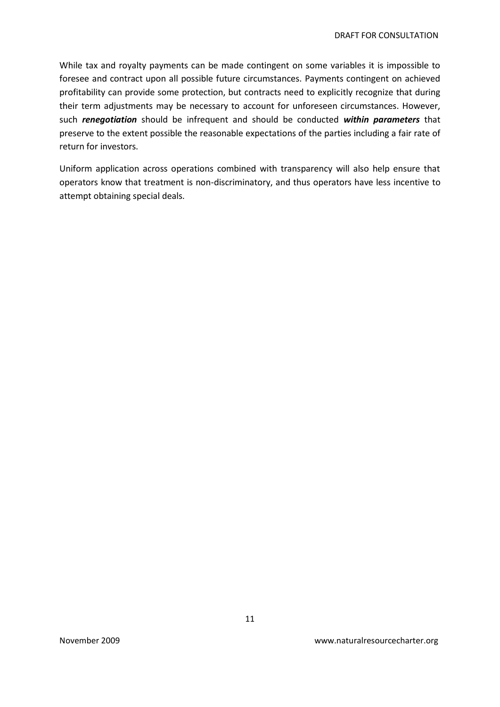While tax and royalty payments can be made contingent on some variables it is impossible to foresee and contract upon all possible future circumstances. Payments contingent on achieved profitability can provide some protection, but contracts need to explicitly recognize that during their term adjustments may be necessary to account for unforeseen circumstances. However, such *renegotiation* should be infrequent and should be conducted *within parameters* that preserve to the extent possible the reasonable expectations of the parties including a fair rate of return for investors.

Uniform application across operations combined with transparency will also help ensure that operators know that treatment is non-discriminatory, and thus operators have less incentive to attempt obtaining special deals.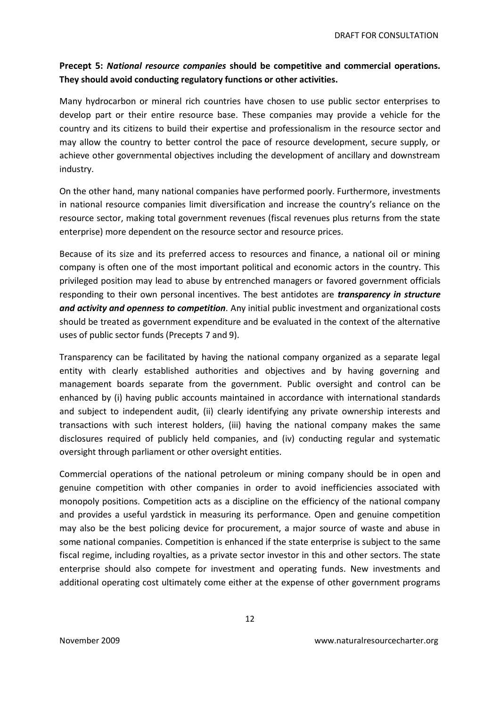### **Precept 5:** *National resource companies* **should be competitive and commercial operations. They should avoid conducting regulatory functions or other activities.**

Many hydrocarbon or mineral rich countries have chosen to use public sector enterprises to develop part or their entire resource base. These companies may provide a vehicle for the country and its citizens to build their expertise and professionalism in the resource sector and may allow the country to better control the pace of resource development, secure supply, or achieve other governmental objectives including the development of ancillary and downstream industry.

On the other hand, many national companies have performed poorly. Furthermore, investments in national resource companies limit diversification and increase the country's reliance on the resource sector, making total government revenues (fiscal revenues plus returns from the state enterprise) more dependent on the resource sector and resource prices.

Because of its size and its preferred access to resources and finance, a national oil or mining company is often one of the most important political and economic actors in the country. This privileged position may lead to abuse by entrenched managers or favored government officials responding to their own personal incentives. The best antidotes are *transparency in structure and activity and openness to competition.* Any initial public investment and organizational costs should be treated as government expenditure and be evaluated in the context of the alternative uses of public sector funds (Precepts 7 and 9).

Transparency can be facilitated by having the national company organized as a separate legal entity with clearly established authorities and objectives and by having governing and management boards separate from the government. Public oversight and control can be enhanced by (i) having public accounts maintained in accordance with international standards and subject to independent audit, (ii) clearly identifying any private ownership interests and transactions with such interest holders, (iii) having the national company makes the same disclosures required of publicly held companies, and (iv) conducting regular and systematic oversight through parliament or other oversight entities.

Commercial operations of the national petroleum or mining company should be in open and genuine competition with other companies in order to avoid inefficiencies associated with monopoly positions. Competition acts as a discipline on the efficiency of the national company and provides a useful yardstick in measuring its performance. Open and genuine competition may also be the best policing device for procurement, a major source of waste and abuse in some national companies. Competition is enhanced if the state enterprise is subject to the same fiscal regime, including royalties, as a private sector investor in this and other sectors. The state enterprise should also compete for investment and operating funds. New investments and additional operating cost ultimately come either at the expense of other government programs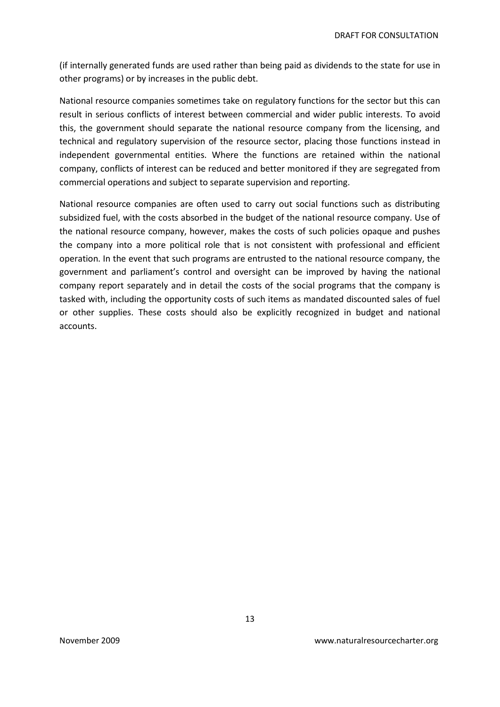(if internally generated funds are used rather than being paid as dividends to the state for use in other programs) or by increases in the public debt.

National resource companies sometimes take on regulatory functions for the sector but this can result in serious conflicts of interest between commercial and wider public interests. To avoid this, the government should separate the national resource company from the licensing, and technical and regulatory supervision of the resource sector, placing those functions instead in independent governmental entities. Where the functions are retained within the national company, conflicts of interest can be reduced and better monitored if they are segregated from commercial operations and subject to separate supervision and reporting.

National resource companies are often used to carry out social functions such as distributing subsidized fuel, with the costs absorbed in the budget of the national resource company. Use of the national resource company, however, makes the costs of such policies opaque and pushes the company into a more political role that is not consistent with professional and efficient operation. In the event that such programs are entrusted to the national resource company, the government and parliament's control and oversight can be improved by having the national company report separately and in detail the costs of the social programs that the company is tasked with, including the opportunity costs of such items as mandated discounted sales of fuel or other supplies. These costs should also be explicitly recognized in budget and national accounts.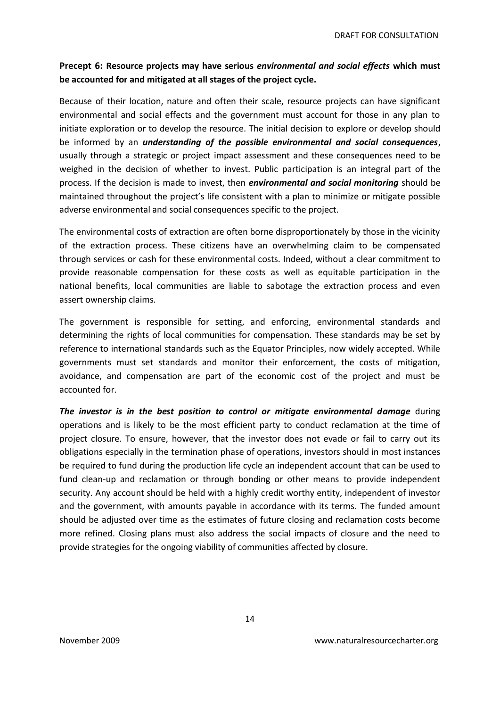### **Precept 6: Resource projects may have serious** *environmental and social effects* **which must be accounted for and mitigated at all stages of the project cycle.**

Because of their location, nature and often their scale, resource projects can have significant environmental and social effects and the government must account for those in any plan to initiate exploration or to develop the resource. The initial decision to explore or develop should be informed by an *understanding of the possible environmental and social consequences*, usually through a strategic or project impact assessment and these consequences need to be weighed in the decision of whether to invest. Public participation is an integral part of the process. If the decision is made to invest, then *environmental and social monitoring* should be maintained throughout the project's life consistent with a plan to minimize or mitigate possible adverse environmental and social consequences specific to the project.

The environmental costs of extraction are often borne disproportionately by those in the vicinity of the extraction process. These citizens have an overwhelming claim to be compensated through services or cash for these environmental costs. Indeed, without a clear commitment to provide reasonable compensation for these costs as well as equitable participation in the national benefits, local communities are liable to sabotage the extraction process and even assert ownership claims.

The government is responsible for setting, and enforcing, environmental standards and determining the rights of local communities for compensation. These standards may be set by reference to international standards such as the Equator Principles, now widely accepted. While governments must set standards and monitor their enforcement, the costs of mitigation, avoidance, and compensation are part of the economic cost of the project and must be accounted for.

**The investor is in the best position to control or mitigate environmental damage** during operations and is likely to be the most efficient party to conduct reclamation at the time of project closure. To ensure, however, that the investor does not evade or fail to carry out its obligations especially in the termination phase of operations, investors should in most instances be required to fund during the production life cycle an independent account that can be used to fund clean-up and reclamation or through bonding or other means to provide independent security. Any account should be held with a highly credit worthy entity, independent of investor and the government, with amounts payable in accordance with its terms. The funded amount should be adjusted over time as the estimates of future closing and reclamation costs become more refined. Closing plans must also address the social impacts of closure and the need to provide strategies for the ongoing viability of communities affected by closure.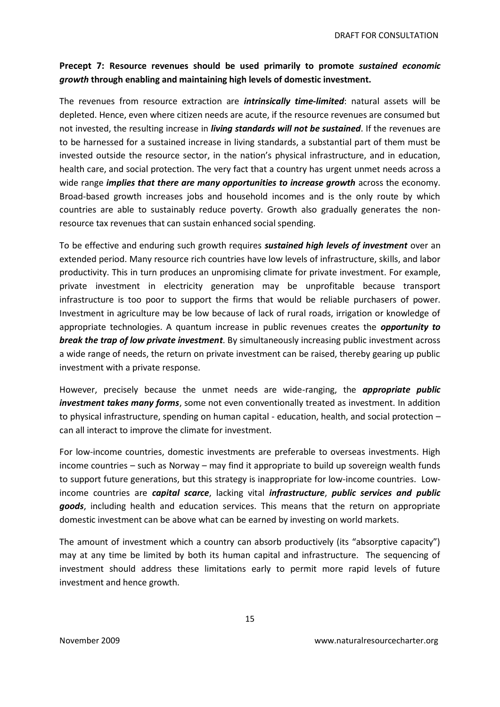### **Precept 7: Resource revenues should be used primarily to promote** *sustained economic growth* **through enabling and maintaining high levels of domestic investment.**

The revenues from resource extraction are *intrinsically time-limited*: natural assets will be depleted. Hence, even where citizen needs are acute, if the resource revenues are consumed but not invested, the resulting increase in *living standards will not be sustained*. If the revenues are to be harnessed for a sustained increase in living standards, a substantial part of them must be invested outside the resource sector, in the nation's physical infrastructure, and in education, health care, and social protection. The very fact that a country has urgent unmet needs across a wide range *implies that there are many opportunities to increase growth* across the economy. Broad-based growth increases jobs and household incomes and is the only route by which countries are able to sustainably reduce poverty. Growth also gradually generates the nonresource tax revenues that can sustain enhanced social spending.

To be effective and enduring such growth requires *sustained high levels of investment* over an extended period. Many resource rich countries have low levels of infrastructure, skills, and labor productivity. This in turn produces an unpromising climate for private investment. For example, private investment in electricity generation may be unprofitable because transport infrastructure is too poor to support the firms that would be reliable purchasers of power. Investment in agriculture may be low because of lack of rural roads, irrigation or knowledge of appropriate technologies. A quantum increase in public revenues creates the *opportunity to break the trap of low private investment*. By simultaneously increasing public investment across a wide range of needs, the return on private investment can be raised, thereby gearing up public investment with a private response.

However, precisely because the unmet needs are wide-ranging, the *appropriate public investment takes many forms*, some not even conventionally treated as investment. In addition to physical infrastructure, spending on human capital - education, health, and social protection – can all interact to improve the climate for investment.

For low-income countries, domestic investments are preferable to overseas investments. High income countries – such as Norway – may find it appropriate to build up sovereign wealth funds to support future generations, but this strategy is inappropriate for low-income countries. Lowincome countries are *capital scarce*, lacking vital *infrastructure*, *public services and public goods*, including health and education services. This means that the return on appropriate domestic investment can be above what can be earned by investing on world markets.

The amount of investment which a country can absorb productively (its "absorptive capacity") may at any time be limited by both its human capital and infrastructure. The sequencing of investment should address these limitations early to permit more rapid levels of future investment and hence growth.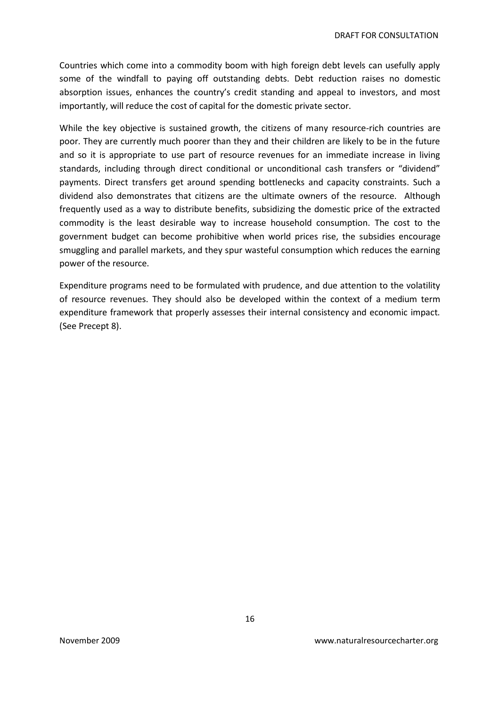Countries which come into a commodity boom with high foreign debt levels can usefully apply some of the windfall to paying off outstanding debts. Debt reduction raises no domestic absorption issues, enhances the country's credit standing and appeal to investors, and most importantly, will reduce the cost of capital for the domestic private sector.

While the key objective is sustained growth, the citizens of many resource-rich countries are poor. They are currently much poorer than they and their children are likely to be in the future and so it is appropriate to use part of resource revenues for an immediate increase in living standards, including through direct conditional or unconditional cash transfers or "dividend" payments. Direct transfers get around spending bottlenecks and capacity constraints. Such a dividend also demonstrates that citizens are the ultimate owners of the resource. Although frequently used as a way to distribute benefits, subsidizing the domestic price of the extracted commodity is the least desirable way to increase household consumption. The cost to the government budget can become prohibitive when world prices rise, the subsidies encourage smuggling and parallel markets, and they spur wasteful consumption which reduces the earning power of the resource.

Expenditure programs need to be formulated with prudence, and due attention to the volatility of resource revenues. They should also be developed within the context of a medium term expenditure framework that properly assesses their internal consistency and economic impact. (See Precept 8).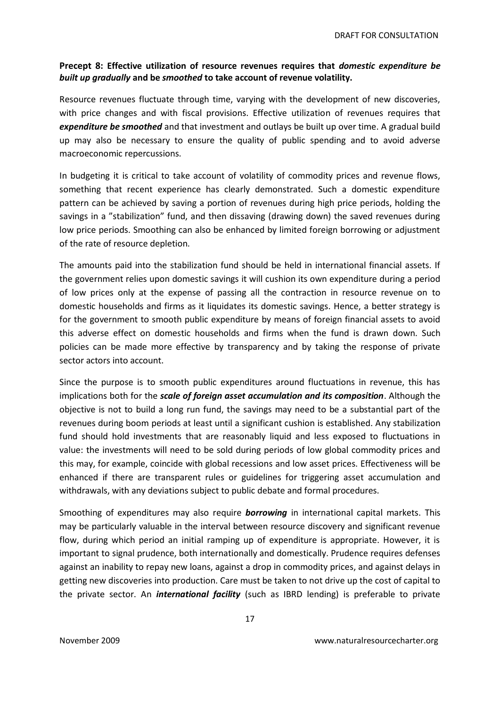#### **Precept 8: Effective utilization of resource revenues requires that** *domestic expenditure be built up gradually* **and be** *smoothed* **to take account of revenue volatility.**

Resource revenues fluctuate through time, varying with the development of new discoveries, with price changes and with fiscal provisions. Effective utilization of revenues requires that *expenditure be smoothed* and that investment and outlays be built up over time. A gradual build up may also be necessary to ensure the quality of public spending and to avoid adverse macroeconomic repercussions.

In budgeting it is critical to take account of volatility of commodity prices and revenue flows, something that recent experience has clearly demonstrated. Such a domestic expenditure pattern can be achieved by saving a portion of revenues during high price periods, holding the savings in a "stabilization" fund, and then dissaving (drawing down) the saved revenues during low price periods. Smoothing can also be enhanced by limited foreign borrowing or adjustment of the rate of resource depletion.

The amounts paid into the stabilization fund should be held in international financial assets. If the government relies upon domestic savings it will cushion its own expenditure during a period of low prices only at the expense of passing all the contraction in resource revenue on to domestic households and firms as it liquidates its domestic savings. Hence, a better strategy is for the government to smooth public expenditure by means of foreign financial assets to avoid this adverse effect on domestic households and firms when the fund is drawn down. Such policies can be made more effective by transparency and by taking the response of private sector actors into account.

Since the purpose is to smooth public expenditures around fluctuations in revenue, this has implications both for the *scale of foreign asset accumulation and its composition*. Although the objective is not to build a long run fund, the savings may need to be a substantial part of the revenues during boom periods at least until a significant cushion is established. Any stabilization fund should hold investments that are reasonably liquid and less exposed to fluctuations in value: the investments will need to be sold during periods of low global commodity prices and this may, for example, coincide with global recessions and low asset prices. Effectiveness will be enhanced if there are transparent rules or guidelines for triggering asset accumulation and withdrawals, with any deviations subject to public debate and formal procedures.

Smoothing of expenditures may also require *borrowing* in international capital markets. This may be particularly valuable in the interval between resource discovery and significant revenue flow, during which period an initial ramping up of expenditure is appropriate. However, it is important to signal prudence, both internationally and domestically. Prudence requires defenses against an inability to repay new loans, against a drop in commodity prices, and against delays in getting new discoveries into production. Care must be taken to not drive up the cost of capital to the private sector. An *international facility* (such as IBRD lending) is preferable to private

17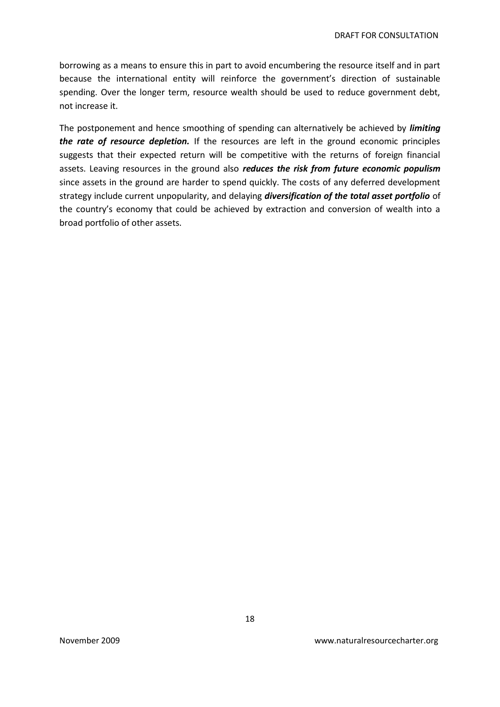borrowing as a means to ensure this in part to avoid encumbering the resource itself and in part because the international entity will reinforce the government's direction of sustainable spending. Over the longer term, resource wealth should be used to reduce government debt, not increase it.

The postponement and hence smoothing of spending can alternatively be achieved by *limiting the rate of resource depletion.* If the resources are left in the ground economic principles suggests that their expected return will be competitive with the returns of foreign financial assets. Leaving resources in the ground also *reduces the risk from future economic populism*  since assets in the ground are harder to spend quickly. The costs of any deferred development strategy include current unpopularity, and delaying *diversification of the total asset portfolio* of the country's economy that could be achieved by extraction and conversion of wealth into a broad portfolio of other assets.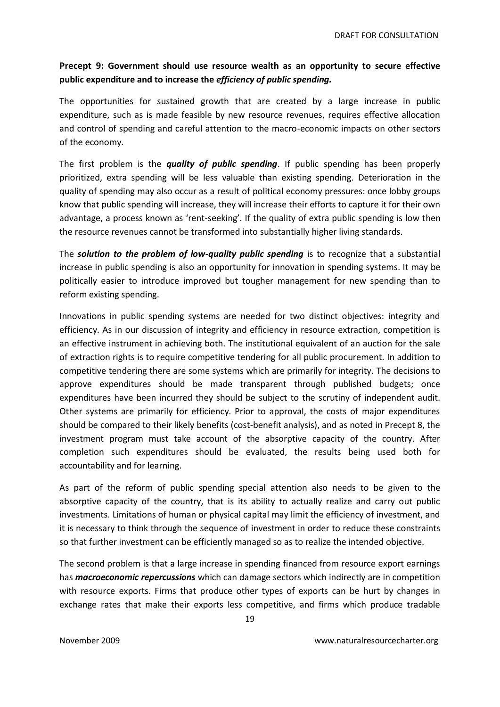### **Precept 9: Government should use resource wealth as an opportunity to secure effective public expenditure and to increase the** *efficiency of public spending.*

The opportunities for sustained growth that are created by a large increase in public expenditure, such as is made feasible by new resource revenues, requires effective allocation and control of spending and careful attention to the macro-economic impacts on other sectors of the economy.

The first problem is the *quality of public spending*. If public spending has been properly prioritized, extra spending will be less valuable than existing spending. Deterioration in the quality of spending may also occur as a result of political economy pressures: once lobby groups know that public spending will increase, they will increase their efforts to capture it for their own advantage, a process known as 'rent-seeking'. If the quality of extra public spending is low then the resource revenues cannot be transformed into substantially higher living standards.

The *solution to the problem of low-quality public spending* is to recognize that a substantial increase in public spending is also an opportunity for innovation in spending systems. It may be politically easier to introduce improved but tougher management for new spending than to reform existing spending.

Innovations in public spending systems are needed for two distinct objectives: integrity and efficiency. As in our discussion of integrity and efficiency in resource extraction, competition is an effective instrument in achieving both. The institutional equivalent of an auction for the sale of extraction rights is to require competitive tendering for all public procurement. In addition to competitive tendering there are some systems which are primarily for integrity. The decisions to approve expenditures should be made transparent through published budgets; once expenditures have been incurred they should be subject to the scrutiny of independent audit. Other systems are primarily for efficiency. Prior to approval, the costs of major expenditures should be compared to their likely benefits (cost-benefit analysis), and as noted in Precept 8, the investment program must take account of the absorptive capacity of the country. After completion such expenditures should be evaluated, the results being used both for accountability and for learning.

As part of the reform of public spending special attention also needs to be given to the absorptive capacity of the country, that is its ability to actually realize and carry out public investments. Limitations of human or physical capital may limit the efficiency of investment, and it is necessary to think through the sequence of investment in order to reduce these constraints so that further investment can be efficiently managed so as to realize the intended objective.

The second problem is that a large increase in spending financed from resource export earnings has *macroeconomic repercussions* which can damage sectors which indirectly are in competition with resource exports. Firms that produce other types of exports can be hurt by changes in exchange rates that make their exports less competitive, and firms which produce tradable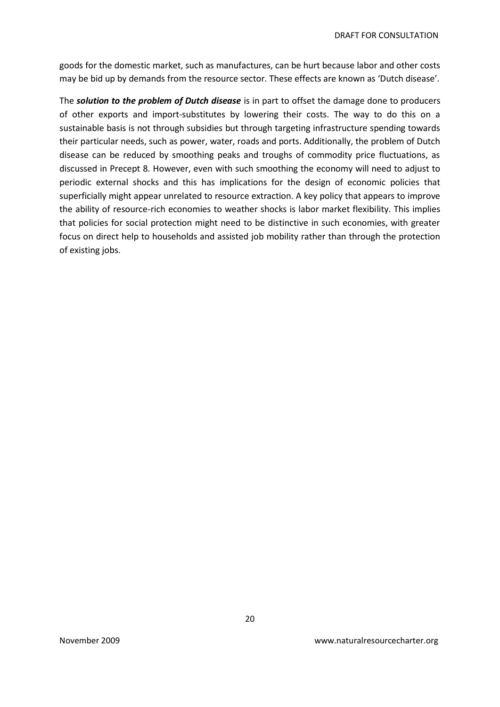goods for the domestic market, such as manufactures, can be hurt because labor and other costs may be bid up by demands from the resource sector. These effects are known as 'Dutch disease'.

The *solution to the problem of Dutch disease* is in part to offset the damage done to producers of other exports and import-substitutes by lowering their costs. The way to do this on a sustainable basis is not through subsidies but through targeting infrastructure spending towards their particular needs, such as power, water, roads and ports. Additionally, the problem of Dutch disease can be reduced by smoothing peaks and troughs of commodity price fluctuations, as discussed in Precept 8. However, even with such smoothing the economy will need to adjust to periodic external shocks and this has implications for the design of economic policies that superficially might appear unrelated to resource extraction. A key policy that appears to improve the ability of resource-rich economies to weather shocks is labor market flexibility. This implies that policies for social protection might need to be distinctive in such economies, with greater focus on direct help to households and assisted job mobility rather than through the protection of existing jobs.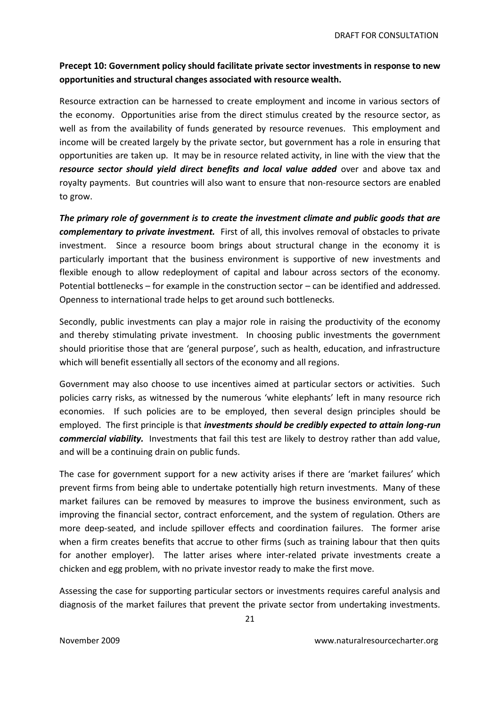### **Precept 10: Government policy should facilitate private sector investments in response to new opportunities and structural changes associated with resource wealth.**

Resource extraction can be harnessed to create employment and income in various sectors of the economy. Opportunities arise from the direct stimulus created by the resource sector, as well as from the availability of funds generated by resource revenues. This employment and income will be created largely by the private sector, but government has a role in ensuring that opportunities are taken up. It may be in resource related activity, in line with the view that the *resource sector should yield direct benefits and local value added* over and above tax and royalty payments. But countries will also want to ensure that non-resource sectors are enabled to grow.

*The primary role of government is to create the investment climate and public goods that are complementary to private investment.* First of all, this involves removal of obstacles to private investment. Since a resource boom brings about structural change in the economy it is particularly important that the business environment is supportive of new investments and flexible enough to allow redeployment of capital and labour across sectors of the economy. Potential bottlenecks – for example in the construction sector – can be identified and addressed. Openness to international trade helps to get around such bottlenecks.

Secondly, public investments can play a major role in raising the productivity of the economy and thereby stimulating private investment. In choosing public investments the government should prioritise those that are 'general purpose', such as health, education, and infrastructure which will benefit essentially all sectors of the economy and all regions.

Government may also choose to use incentives aimed at particular sectors or activities. Such policies carry risks, as witnessed by the numerous 'white elephants' left in many resource rich economies. If such policies are to be employed, then several design principles should be employed. The first principle is that *investments should be credibly expected to attain long-run commercial viability.* Investments that fail this test are likely to destroy rather than add value, and will be a continuing drain on public funds.

The case for government support for a new activity arises if there are 'market failures' which prevent firms from being able to undertake potentially high return investments. Many of these market failures can be removed by measures to improve the business environment, such as improving the financial sector, contract enforcement, and the system of regulation. Others are more deep-seated, and include spillover effects and coordination failures. The former arise when a firm creates benefits that accrue to other firms (such as training labour that then quits for another employer). The latter arises where inter-related private investments create a chicken and egg problem, with no private investor ready to make the first move.

Assessing the case for supporting particular sectors or investments requires careful analysis and diagnosis of the market failures that prevent the private sector from undertaking investments.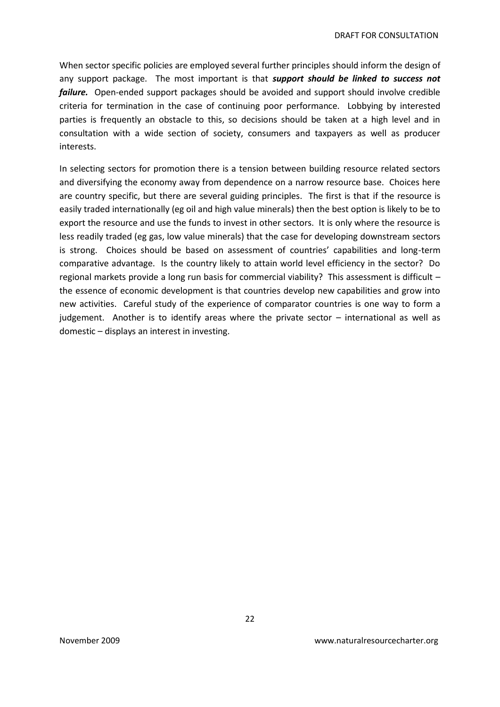When sector specific policies are employed several further principles should inform the design of any support package. The most important is that *support should be linked to success not failure.* Open-ended support packages should be avoided and support should involve credible criteria for termination in the case of continuing poor performance. Lobbying by interested parties is frequently an obstacle to this, so decisions should be taken at a high level and in consultation with a wide section of society, consumers and taxpayers as well as producer interests.

In selecting sectors for promotion there is a tension between building resource related sectors and diversifying the economy away from dependence on a narrow resource base. Choices here are country specific, but there are several guiding principles. The first is that if the resource is easily traded internationally (eg oil and high value minerals) then the best option is likely to be to export the resource and use the funds to invest in other sectors. It is only where the resource is less readily traded (eg gas, low value minerals) that the case for developing downstream sectors is strong. Choices should be based on assessment of countries' capabilities and long-term comparative advantage. Is the country likely to attain world level efficiency in the sector? Do regional markets provide a long run basis for commercial viability? This assessment is difficult – the essence of economic development is that countries develop new capabilities and grow into new activities. Careful study of the experience of comparator countries is one way to form a judgement. Another is to identify areas where the private sector – international as well as domestic – displays an interest in investing.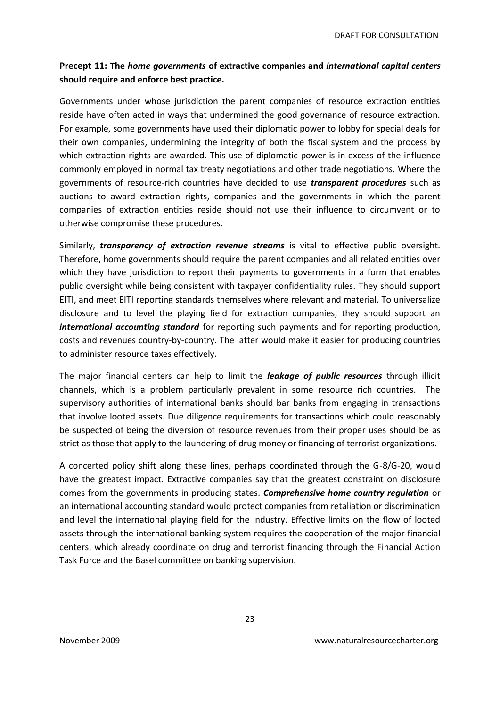## **Precept 11: The** *home governments* **of extractive companies and** *international capital centers* **should require and enforce best practice.**

Governments under whose jurisdiction the parent companies of resource extraction entities reside have often acted in ways that undermined the good governance of resource extraction. For example, some governments have used their diplomatic power to lobby for special deals for their own companies, undermining the integrity of both the fiscal system and the process by which extraction rights are awarded. This use of diplomatic power is in excess of the influence commonly employed in normal tax treaty negotiations and other trade negotiations. Where the governments of resource-rich countries have decided to use *transparent procedures* such as auctions to award extraction rights, companies and the governments in which the parent companies of extraction entities reside should not use their influence to circumvent or to otherwise compromise these procedures.

Similarly, *transparency of extraction revenue streams* is vital to effective public oversight. Therefore, home governments should require the parent companies and all related entities over which they have jurisdiction to report their payments to governments in a form that enables public oversight while being consistent with taxpayer confidentiality rules. They should support EITI, and meet EITI reporting standards themselves where relevant and material. To universalize disclosure and to level the playing field for extraction companies, they should support an *international accounting standard* for reporting such payments and for reporting production, costs and revenues country-by-country. The latter would make it easier for producing countries to administer resource taxes effectively.

The major financial centers can help to limit the *leakage of public resources* through illicit channels, which is a problem particularly prevalent in some resource rich countries. The supervisory authorities of international banks should bar banks from engaging in transactions that involve looted assets. Due diligence requirements for transactions which could reasonably be suspected of being the diversion of resource revenues from their proper uses should be as strict as those that apply to the laundering of drug money or financing of terrorist organizations.

A concerted policy shift along these lines, perhaps coordinated through the G-8/G-20, would have the greatest impact. Extractive companies say that the greatest constraint on disclosure comes from the governments in producing states. *Comprehensive home country regulation* or an international accounting standard would protect companies from retaliation or discrimination and level the international playing field for the industry. Effective limits on the flow of looted assets through the international banking system requires the cooperation of the major financial centers, which already coordinate on drug and terrorist financing through the Financial Action Task Force and the Basel committee on banking supervision.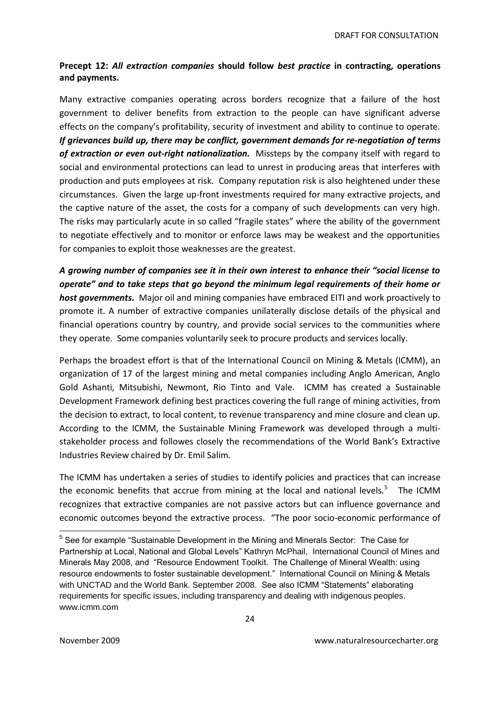#### **Precept 12:** *All extraction companies* **should follow** *best practice* **in contracting, operations and payments.**

Many extractive companies operating across borders recognize that a failure of the host government to deliver benefits from extraction to the people can have significant adverse effects on the company's profitability, security of investment and ability to continue to operate. *If grievances build up, there may be conflict, government demands for re-negotiation of terms of extraction or even out-right nationalization.* Missteps by the company itself with regard to social and environmental protections can lead to unrest in producing areas that interferes with production and puts employees at risk. Company reputation risk is also heightened under these circumstances. Given the large up-front investments required for many extractive projects, and the captive nature of the asset, the costs for a company of such developments can very high. The risks may particularly acute in so called "fragile states" where the ability of the government to negotiate effectively and to monitor or enforce laws may be weakest and the opportunities for companies to exploit those weaknesses are the greatest.

*A growing number of companies see it in their own interest to enhance their "social license to operate" and to take steps that go beyond the minimum legal requirements of their home or host governments.* Major oil and mining companies have embraced EITI and work proactively to promote it. A number of extractive companies unilaterally disclose details of the physical and financial operations country by country, and provide social services to the communities where they operate. Some companies voluntarily seek to procure products and services locally.

Perhaps the broadest effort is that of the International Council on Mining & Metals (ICMM), an organization of 17 of the largest mining and metal companies including Anglo American, Anglo Gold Ashanti, Mitsubishi, Newmont, Rio Tinto and Vale. ICMM has created a Sustainable Development Framework defining best practices covering the full range of mining activities, from the decision to extract, to local content, to revenue transparency and mine closure and clean up. According to the ICMM, the Sustainable Mining Framework was developed through a multistakeholder process and followes closely the recommendations of the World Bank's Extractive Industries Review chaired by Dr. Emil Salim.

The ICMM has undertaken a series of studies to identify policies and practices that can increase the economic benefits that accrue from mining at the local and national levels.<sup>5</sup> The ICMM recognizes that extractive companies are not passive actors but can influence governance and economic outcomes beyond the extractive process. "The poor socio-economic performance of

 $\overline{\phantom{a}}$ <sup>5</sup> See for example "Sustainable Development in the Mining and Minerals Sector: The Case for Partnership at Local, National and Global Levels" Kathryn McPhail, International Council of Mines and Minerals May 2008, and "Resource Endowment Toolkit. The Challenge of Mineral Wealth: using resource endowments to foster sustainable development." International Council on Mining & Metals with UNCTAD and the World Bank. September 2008. See also ICMM "Statements" elaborating requirements for specific issues, including transparency and dealing with indigenous peoples. www.icmm.com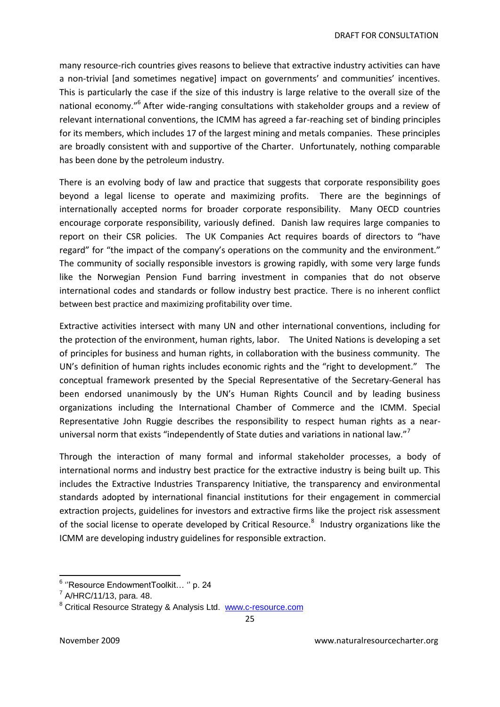many resource-rich countries gives reasons to believe that extractive industry activities can have a non-trivial (and sometimes negative) impact on governments' and communities' incentives. This is particularly the case if the size of this industry is large relative to the overall size of the national economy."<sup>6</sup> After wide-ranging consultations with stakeholder groups and a review of relevant international conventions, the ICMM has agreed a far-reaching set of binding principles for its members, which includes 17 of the largest mining and metals companies. These principles are broadly consistent with and supportive of the Charter. Unfortunately, nothing comparable has been done by the petroleum industry.

There is an evolving body of law and practice that suggests that corporate responsibility goes beyond a legal license to operate and maximizing profits. There are the beginnings of internationally accepted norms for broader corporate responsibility. Many OECD countries encourage corporate responsibility, variously defined. Danish law requires large companies to report on their CSR policies. The UK Companies Act requires boards of directors to "have regard" for "the impact of the company's operations on the community and the environment." The community of socially responsible investors is growing rapidly, with some very large funds like the Norwegian Pension Fund barring investment in companies that do not observe international codes and standards or follow industry best practice. There is no inherent conflict between best practice and maximizing profitability over time.

Extractive activities intersect with many UN and other international conventions, including for the protection of the environment, human rights, labor. The United Nations is developing a set of principles for business and human rights, in collaboration with the business community. The UN's definition of human rights includes economic rights and the "right to development." The conceptual framework presented by the Special Representative of the Secretary-General has been endorsed unanimously by the UN's Human Rights Council and by leading business organizations including the International Chamber of Commerce and the ICMM. Special Representative John Ruggie describes the responsibility to respect human rights as a nearuniversal norm that exists "independently of State duties and variations in national law."

Through the interaction of many formal and informal stakeholder processes, a body of international norms and industry best practice for the extractive industry is being built up. This includes the Extractive Industries Transparency Initiative, the transparency and environmental standards adopted by international financial institutions for their engagement in commercial extraction projects, guidelines for investors and extractive firms like the project risk assessment of the social license to operate developed by Critical Resource.<sup>8</sup> Industry organizations like the ICMM are developing industry guidelines for responsible extraction.

 6 ""Resource EndowmentToolkit… "" p. 24

 $7$  A/HRC/11/13, para. 48.

<sup>&</sup>lt;sup>8</sup> Critical Resource Strategy & Analysis Ltd. [www.c-resource.com](http://www.c-resource.com/)